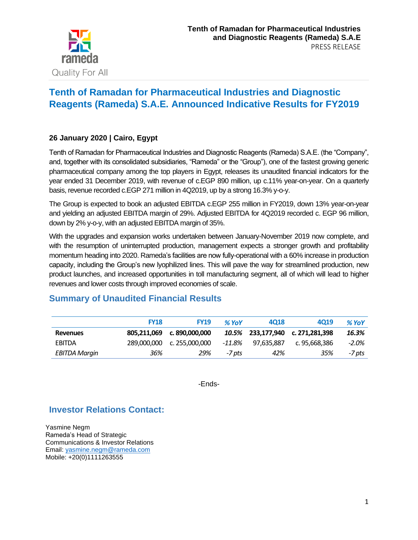

# **Tenth of Ramadan for Pharmaceutical Industries and Diagnostic Reagents (Rameda) S.A.E. Announced Indicative Results for FY2019**

#### **26 January 2020 | Cairo, Egypt**

Tenth of Ramadan for Pharmaceutical Industries and Diagnostic Reagents (Rameda) S.A.E. (the "Company", and, together with its consolidated subsidiaries, "Rameda" or the "Group"), one of the fastest growing generic pharmaceutical company among the top players in Egypt, releases its unaudited financial indicators for the year ended 31 December 2019, with revenue of c.EGP 890 million, up c.11% year-on-year. On a quarterly basis, revenue recorded c.EGP 271 million in 4Q2019, up by a strong 16.3% y-o-y.

The Group is expected to book an adjusted EBITDA c.EGP 255 million in FY2019, down 13% year-on-year and yielding an adjusted EBITDA margin of 29%. Adjusted EBITDA for 4Q2019 recorded c. EGP 96 million, down by 2% y-o-y, with an adjusted EBITDA margin of 35%.

With the upgrades and expansion works undertaken between January-November 2019 now complete, and with the resumption of uninterrupted production, management expects a stronger growth and profitability momentum heading into 2020. Rameda's facilities are now fully-operational with a 60% increase in production capacity, including the Group's new lyophilized lines. This will pave the way for streamlined production, new product launches, and increased opportunities in toll manufacturing segment, all of which will lead to higher revenues and lower costs through improved economies of scale.

## **Summary of Unaudited Financial Results**

|                 | <b>FY18</b> | <b>FY19</b>    | $%$ YoY | 4018              | 4019           | $%$ YoY |
|-----------------|-------------|----------------|---------|-------------------|----------------|---------|
| <b>Revenues</b> | 805.211.069 | c. 890.000.000 |         | 10.5% 233.177.940 | c. 271,281,398 | 16.3%   |
| EBITDA          | 289,000,000 | c. 255.000.000 | -11.8%  | 97.635.887        | c. 95.668.386  | $-2.0%$ |
| EBITDA Margin   | 36%         | 29%            | -7 pts  | 42%               | 35%            | -7 pts  |

-Ends-

## **Investor Relations Contact:**

Yasmine Negm Rameda's Head of Strategic Communications & Investor Relations Email: [yasmine.negm@rameda.com](mailto:yasmine.negm@rameda.com) Mobile: +20(0)1111263555